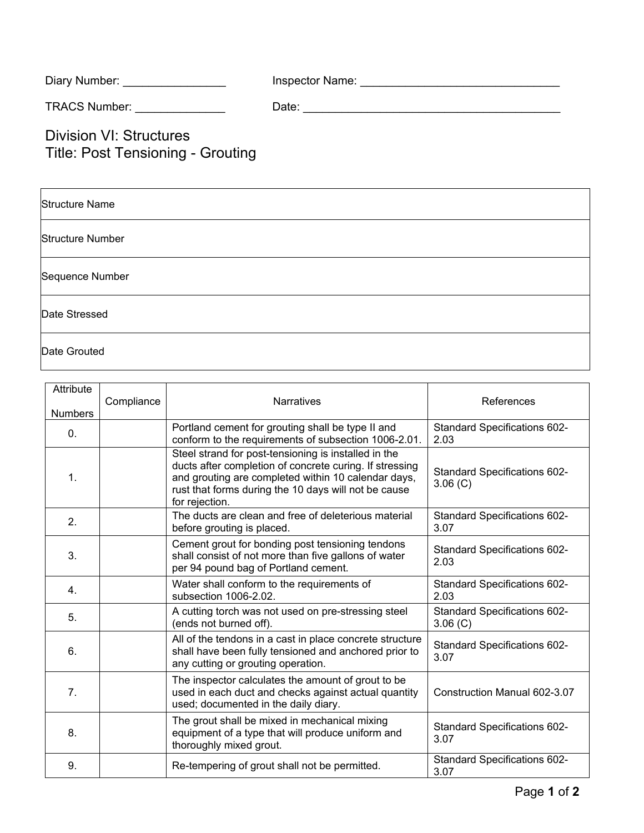| Diary Number: | Inspector Name: |
|---------------|-----------------|
|---------------|-----------------|

TRACS Number: \_\_\_\_\_\_\_\_\_\_\_\_\_\_ Date: \_\_\_\_\_\_\_\_\_\_\_\_\_\_\_\_\_\_\_\_\_\_\_\_\_\_\_\_\_\_\_\_\_\_\_\_\_\_\_\_

Division VI: Structures Title: Post Tensioning - Grouting

| <b>Structure Name</b>   |  |
|-------------------------|--|
| <b>Structure Number</b> |  |
| Sequence Number         |  |
| Date Stressed           |  |
| Date Grouted            |  |

| Attribute<br><b>Numbers</b> | Compliance | <b>Narratives</b>                                                                                                                                                                                                                                | References                                  |
|-----------------------------|------------|--------------------------------------------------------------------------------------------------------------------------------------------------------------------------------------------------------------------------------------------------|---------------------------------------------|
| 0.                          |            | Portland cement for grouting shall be type II and<br>conform to the requirements of subsection 1006-2.01.                                                                                                                                        | <b>Standard Specifications 602-</b><br>2.03 |
| 1.                          |            | Steel strand for post-tensioning is installed in the<br>ducts after completion of concrete curing. If stressing<br>and grouting are completed within 10 calendar days,<br>rust that forms during the 10 days will not be cause<br>for rejection. | Standard Specifications 602-<br>3.06(C)     |
| 2.                          |            | The ducts are clean and free of deleterious material<br>before grouting is placed.                                                                                                                                                               | Standard Specifications 602-<br>3.07        |
| 3.                          |            | Cement grout for bonding post tensioning tendons<br>shall consist of not more than five gallons of water<br>per 94 pound bag of Portland cement.                                                                                                 | Standard Specifications 602-<br>2.03        |
| 4.                          |            | Water shall conform to the requirements of<br>subsection 1006-2.02.                                                                                                                                                                              | Standard Specifications 602-<br>2.03        |
| 5.                          |            | A cutting torch was not used on pre-stressing steel<br>(ends not burned off).                                                                                                                                                                    | Standard Specifications 602-<br>3.06(C)     |
| 6.                          |            | All of the tendons in a cast in place concrete structure<br>shall have been fully tensioned and anchored prior to<br>any cutting or grouting operation.                                                                                          | Standard Specifications 602-<br>3.07        |
| 7.                          |            | The inspector calculates the amount of grout to be<br>used in each duct and checks against actual quantity<br>used; documented in the daily diary.                                                                                               | Construction Manual 602-3.07                |
| 8.                          |            | The grout shall be mixed in mechanical mixing<br>equipment of a type that will produce uniform and<br>thoroughly mixed grout.                                                                                                                    | <b>Standard Specifications 602-</b><br>3.07 |
| 9.                          |            | Re-tempering of grout shall not be permitted.                                                                                                                                                                                                    | Standard Specifications 602-<br>3.07        |